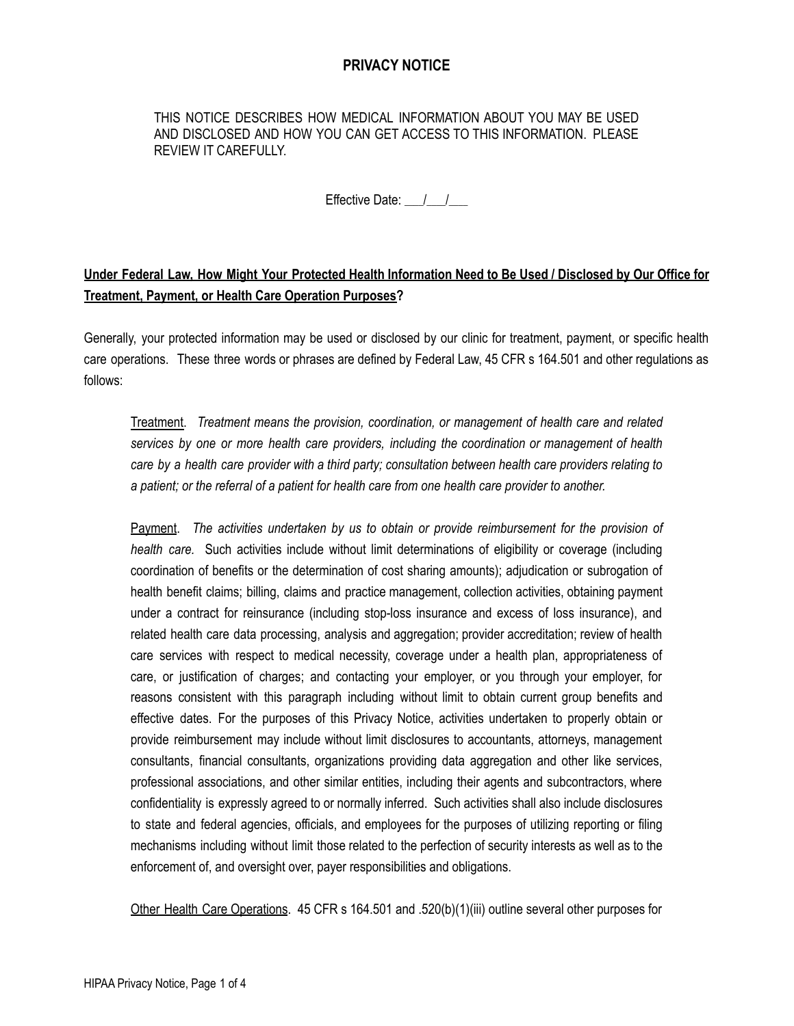## **PRIVACY NOTICE**

THIS NOTICE DESCRIBES HOW MEDICAL INFORMATION ABOUT YOU MAY BE USED AND DISCLOSED AND HOW YOU CAN GET ACCESS TO THIS INFORMATION. PLEASE REVIEW IT CAREFULLY.

### Effective Date:  $\frac{1}{2}$

# Under Federal Law, How Might Your Protected Health Information Need to Be Used / Disclosed by Our Office for **Treatment, Payment, or Health Care Operation Purposes?**

Generally, your protected information may be used or disclosed by our clinic for treatment, payment, or specific health care operations. These three words or phrases are defined by Federal Law, 45 CFR s 164.501 and other regulations as follows:

Treatment. *Treatment means the provision, coordination, or management of health care and related services by one or more health care providers, including the coordination or management of health care by a health care provider with a third party; consultation between health care providers relating to a patient; or the referral of a patient for health care from one health care provider to another.*

Payment. *The activities undertaken by us to obtain or provide reimbursement for the provision of health care.* Such activities include without limit determinations of eligibility or coverage (including coordination of benefits or the determination of cost sharing amounts); adjudication or subrogation of health benefit claims; billing, claims and practice management, collection activities, obtaining payment under a contract for reinsurance (including stop-loss insurance and excess of loss insurance), and related health care data processing, analysis and aggregation; provider accreditation; review of health care services with respect to medical necessity, coverage under a health plan, appropriateness of care, or justification of charges; and contacting your employer, or you through your employer, for reasons consistent with this paragraph including without limit to obtain current group benefits and effective dates. For the purposes of this Privacy Notice, activities undertaken to properly obtain or provide reimbursement may include without limit disclosures to accountants, attorneys, management consultants, financial consultants, organizations providing data aggregation and other like services, professional associations, and other similar entities, including their agents and subcontractors, where confidentiality is expressly agreed to or normally inferred. Such activities shall also include disclosures to state and federal agencies, officials, and employees for the purposes of utilizing reporting or filing mechanisms including without limit those related to the perfection of security interests as well as to the enforcement of, and oversight over, payer responsibilities and obligations.

Other Health Care Operations. 45 CFR s 164.501 and .520(b)(1)(iii) outline several other purposes for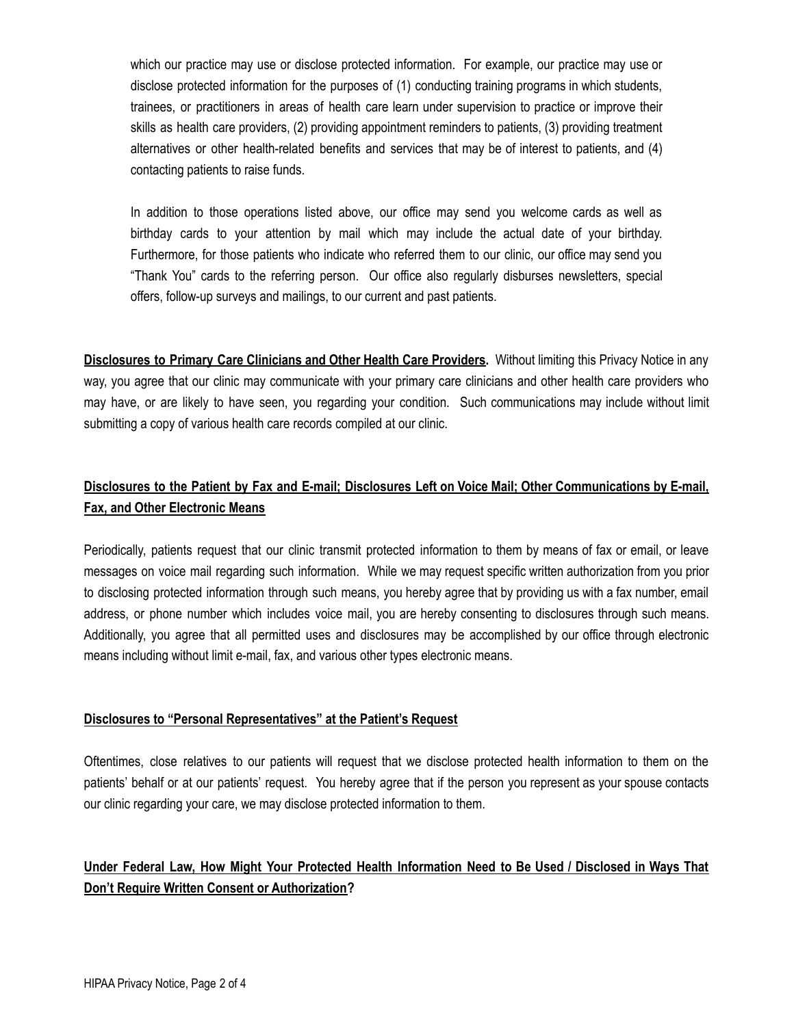which our practice may use or disclose protected information. For example, our practice may use or disclose protected information for the purposes of (1) conducting training programs in which students, trainees, or practitioners in areas of health care learn under supervision to practice or improve their skills as health care providers, (2) providing appointment reminders to patients, (3) providing treatment alternatives or other health-related benefits and services that may be of interest to patients, and (4) contacting patients to raise funds.

In addition to those operations listed above, our office may send you welcome cards as well as birthday cards to your attention by mail which may include the actual date of your birthday. Furthermore, for those patients who indicate who referred them to our clinic, our office may send you "Thank You" cards to the referring person. Our office also regularly disburses newsletters, special offers, follow-up surveys and mailings, to our current and past patients.

**Disclosures to Primary Care Clinicians and Other Health Care Providers.** Without limiting this Privacy Notice in any way, you agree that our clinic may communicate with your primary care clinicians and other health care providers who may have, or are likely to have seen, you regarding your condition. Such communications may include without limit submitting a copy of various health care records compiled at our clinic.

# Disclosures to the Patient by Fax and E-mail; Disclosures Left on Voice Mail; Other Communications by E-mail, **Fax, and Other Electronic Means**

Periodically, patients request that our clinic transmit protected information to them by means of fax or email, or leave messages on voice mail regarding such information. While we may request specific written authorization from you prior to disclosing protected information through such means, you hereby agree that by providing us with a fax number, email address, or phone number which includes voice mail, you are hereby consenting to disclosures through such means. Additionally, you agree that all permitted uses and disclosures may be accomplished by our office through electronic means including without limit e-mail, fax, and various other types electronic means.

#### **Disclosures to "Personal Representatives" at the Patient's Request**

Oftentimes, close relatives to our patients will request that we disclose protected health information to them on the patients' behalf or at our patients' request. You hereby agree that if the person you represent as your spouse contacts our clinic regarding your care, we may disclose protected information to them.

# Under Federal Law, How Might Your Protected Health Information Need to Be Used / Disclosed in Ways That **Don't Require Written Consent or Authorization?**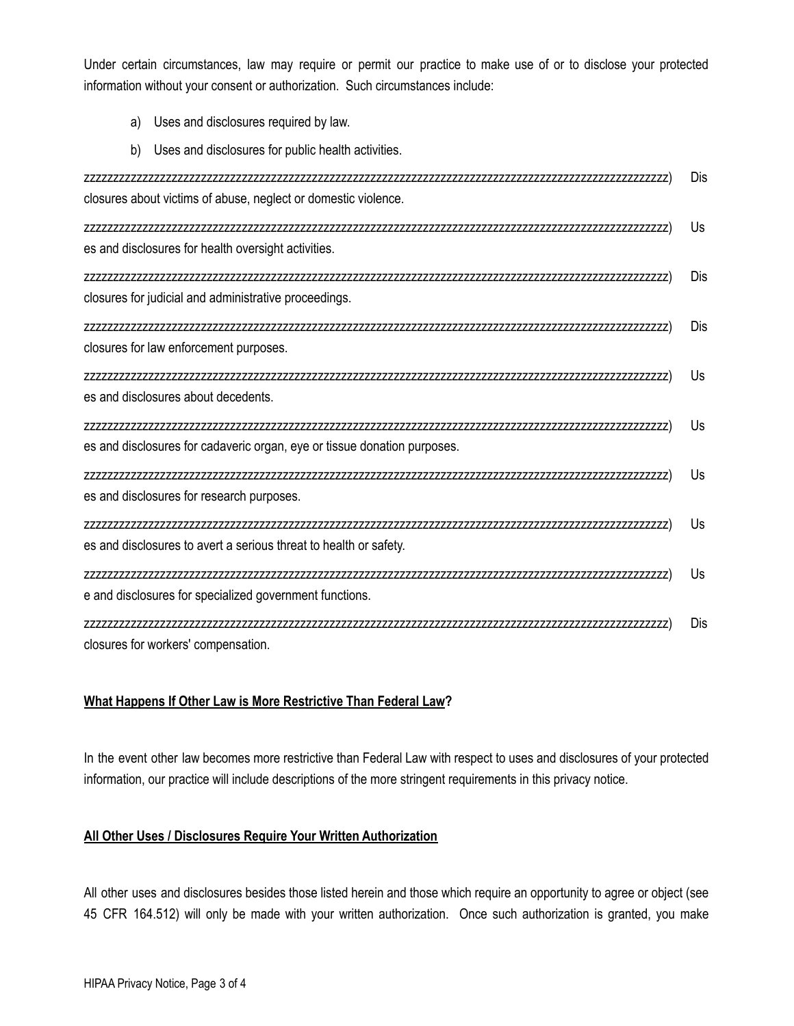Under certain circumstances, law may require or permit our practice to make use of or to disclose your protected information without your consent or authorization. Such circumstances include:

- a) Uses and disclosures required by law.
- b) Uses and disclosures for public health activities.

|                                                                          | Dis |
|--------------------------------------------------------------------------|-----|
| closures about victims of abuse, neglect or domestic violence.           |     |
|                                                                          | Us  |
| es and disclosures for health oversight activities.                      |     |
|                                                                          | Dis |
| closures for judicial and administrative proceedings.                    |     |
|                                                                          | Dis |
| closures for law enforcement purposes.                                   |     |
|                                                                          | Us  |
| es and disclosures about decedents.                                      |     |
| 77777777777777777777777777777                                            | Us  |
| es and disclosures for cadaveric organ, eye or tissue donation purposes. |     |
|                                                                          | Us  |
| es and disclosures for research purposes.                                |     |
|                                                                          | Us  |
| es and disclosures to avert a serious threat to health or safety.        |     |
|                                                                          | Us  |
| e and disclosures for specialized government functions.                  |     |
|                                                                          | Dis |
| closures for workers' compensation.                                      |     |

## **What Happens If Other Law is More Restrictive Than Federal Law?**

In the event other law becomes more restrictive than Federal Law with respect to uses and disclosures of your protected information, our practice will include descriptions of the more stringent requirements in this privacy notice.

## **All Other Uses / Disclosures Require Your Written Authorization**

All other uses and disclosures besides those listed herein and those which require an opportunity to agree or object (see 45 CFR 164.512) will only be made with your written authorization. Once such authorization is granted, you make